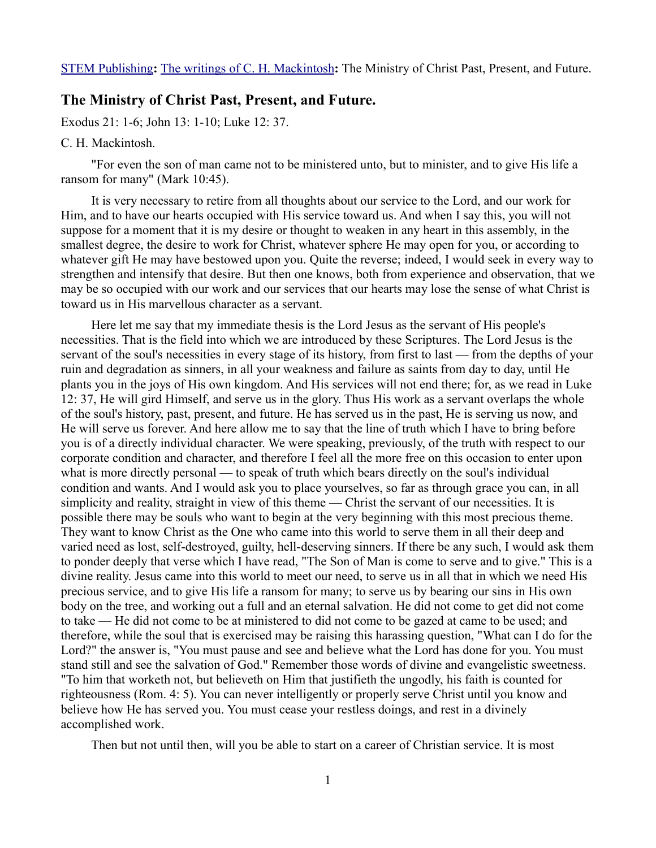## **The Ministry of Christ Past, Present, and Future.**

Exodus 21: 1-6; John 13: 1-10; Luke 12: 37.

## C. H. Mackintosh.

"For even the son of man came not to be ministered unto, but to minister, and to give His life a ransom for many" (Mark 10:45).

It is very necessary to retire from all thoughts about our service to the Lord, and our work for Him, and to have our hearts occupied with His service toward us. And when I say this, you will not suppose for a moment that it is my desire or thought to weaken in any heart in this assembly, in the smallest degree, the desire to work for Christ, whatever sphere He may open for you, or according to whatever gift He may have bestowed upon you. Quite the reverse; indeed, I would seek in every way to strengthen and intensify that desire. But then one knows, both from experience and observation, that we may be so occupied with our work and our services that our hearts may lose the sense of what Christ is toward us in His marvellous character as a servant.

Here let me say that my immediate thesis is the Lord Jesus as the servant of His people's necessities. That is the field into which we are introduced by these Scriptures. The Lord Jesus is the servant of the soul's necessities in every stage of its history, from first to last — from the depths of your ruin and degradation as sinners, in all your weakness and failure as saints from day to day, until He plants you in the joys of His own kingdom. And His services will not end there; for, as we read in Luke 12: 37, He will gird Himself, and serve us in the glory. Thus His work as a servant overlaps the whole of the soul's history, past, present, and future. He has served us in the past, He is serving us now, and He will serve us forever. And here allow me to say that the line of truth which I have to bring before you is of a directly individual character. We were speaking, previously, of the truth with respect to our corporate condition and character, and therefore I feel all the more free on this occasion to enter upon what is more directly personal — to speak of truth which bears directly on the soul's individual condition and wants. And I would ask you to place yourselves, so far as through grace you can, in all simplicity and reality, straight in view of this theme — Christ the servant of our necessities. It is possible there may be souls who want to begin at the very beginning with this most precious theme. They want to know Christ as the One who came into this world to serve them in all their deep and varied need as lost, self-destroyed, guilty, hell-deserving sinners. If there be any such, I would ask them to ponder deeply that verse which I have read, "The Son of Man is come to serve and to give." This is a divine reality. Jesus came into this world to meet our need, to serve us in all that in which we need His precious service, and to give His life a ransom for many; to serve us by bearing our sins in His own body on the tree, and working out a full and an eternal salvation. He did not come to get did not come to take — He did not come to be at ministered to did not come to be gazed at came to be used; and therefore, while the soul that is exercised may be raising this harassing question, "What can I do for the Lord?" the answer is, "You must pause and see and believe what the Lord has done for you. You must stand still and see the salvation of God." Remember those words of divine and evangelistic sweetness. "To him that worketh not, but believeth on Him that justifieth the ungodly, his faith is counted for righteousness (Rom. 4: 5). You can never intelligently or properly serve Christ until you know and believe how He has served you. You must cease your restless doings, and rest in a divinely accomplished work.

Then but not until then, will you be able to start on a career of Christian service. It is most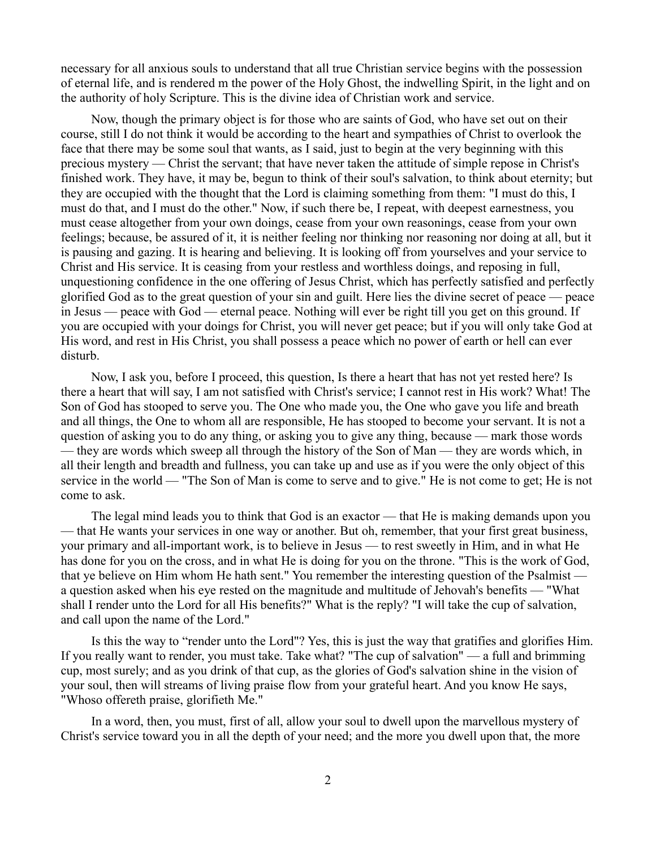necessary for all anxious souls to understand that all true Christian service begins with the possession of eternal life, and is rendered m the power of the Holy Ghost, the indwelling Spirit, in the light and on the authority of holy Scripture. This is the divine idea of Christian work and service.

Now, though the primary object is for those who are saints of God, who have set out on their course, still I do not think it would be according to the heart and sympathies of Christ to overlook the face that there may be some soul that wants, as I said, just to begin at the very beginning with this precious mystery — Christ the servant; that have never taken the attitude of simple repose in Christ's finished work. They have, it may be, begun to think of their soul's salvation, to think about eternity; but they are occupied with the thought that the Lord is claiming something from them: "I must do this, I must do that, and I must do the other." Now, if such there be, I repeat, with deepest earnestness, you must cease altogether from your own doings, cease from your own reasonings, cease from your own feelings; because, be assured of it, it is neither feeling nor thinking nor reasoning nor doing at all, but it is pausing and gazing. It is hearing and believing. It is looking off from yourselves and your service to Christ and His service. It is ceasing from your restless and worthless doings, and reposing in full, unquestioning confidence in the one offering of Jesus Christ, which has perfectly satisfied and perfectly glorified God as to the great question of your sin and guilt. Here lies the divine secret of peace — peace in Jesus — peace with God — eternal peace. Nothing will ever be right till you get on this ground. If you are occupied with your doings for Christ, you will never get peace; but if you will only take God at His word, and rest in His Christ, you shall possess a peace which no power of earth or hell can ever disturb.

Now, I ask you, before I proceed, this question, Is there a heart that has not yet rested here? Is there a heart that will say, I am not satisfied with Christ's service; I cannot rest in His work? What! The Son of God has stooped to serve you. The One who made you, the One who gave you life and breath and all things, the One to whom all are responsible, He has stooped to become your servant. It is not a question of asking you to do any thing, or asking you to give any thing, because — mark those words — they are words which sweep all through the history of the Son of Man — they are words which, in all their length and breadth and fullness, you can take up and use as if you were the only object of this service in the world — "The Son of Man is come to serve and to give." He is not come to get; He is not come to ask.

The legal mind leads you to think that God is an exactor — that He is making demands upon you — that He wants your services in one way or another. But oh, remember, that your first great business, your primary and all-important work, is to believe in Jesus — to rest sweetly in Him, and in what He has done for you on the cross, and in what He is doing for you on the throne. "This is the work of God, that ye believe on Him whom He hath sent." You remember the interesting question of the Psalmist a question asked when his eye rested on the magnitude and multitude of Jehovah's benefits — "What shall I render unto the Lord for all His benefits?" What is the reply? "I will take the cup of salvation, and call upon the name of the Lord."

Is this the way to "render unto the Lord"? Yes, this is just the way that gratifies and glorifies Him. If you really want to render, you must take. Take what? "The cup of salvation" — a full and brimming cup, most surely; and as you drink of that cup, as the glories of God's salvation shine in the vision of your soul, then will streams of living praise flow from your grateful heart. And you know He says, "Whoso offereth praise, glorifieth Me."

In a word, then, you must, first of all, allow your soul to dwell upon the marvellous mystery of Christ's service toward you in all the depth of your need; and the more you dwell upon that, the more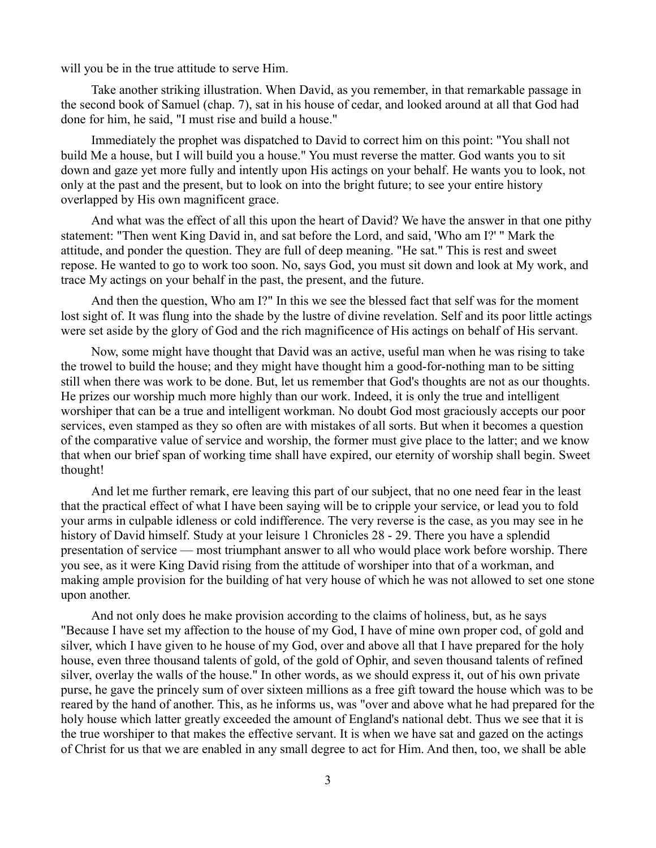will you be in the true attitude to serve Him.

Take another striking illustration. When David, as you remember, in that remarkable passage in the second book of Samuel (chap. 7), sat in his house of cedar, and looked around at all that God had done for him, he said, "I must rise and build a house."

Immediately the prophet was dispatched to David to correct him on this point: "You shall not build Me a house, but I will build you a house." You must reverse the matter. God wants you to sit down and gaze yet more fully and intently upon His actings on your behalf. He wants you to look, not only at the past and the present, but to look on into the bright future; to see your entire history overlapped by His own magnificent grace.

And what was the effect of all this upon the heart of David? We have the answer in that one pithy statement: "Then went King David in, and sat before the Lord, and said, 'Who am I?' " Mark the attitude, and ponder the question. They are full of deep meaning. "He sat." This is rest and sweet repose. He wanted to go to work too soon. No, says God, you must sit down and look at My work, and trace My actings on your behalf in the past, the present, and the future.

And then the question, Who am I?" In this we see the blessed fact that self was for the moment lost sight of. It was flung into the shade by the lustre of divine revelation. Self and its poor little actings were set aside by the glory of God and the rich magnificence of His actings on behalf of His servant.

Now, some might have thought that David was an active, useful man when he was rising to take the trowel to build the house; and they might have thought him a good-for-nothing man to be sitting still when there was work to be done. But, let us remember that God's thoughts are not as our thoughts. He prizes our worship much more highly than our work. Indeed, it is only the true and intelligent worshiper that can be a true and intelligent workman. No doubt God most graciously accepts our poor services, even stamped as they so often are with mistakes of all sorts. But when it becomes a question of the comparative value of service and worship, the former must give place to the latter; and we know that when our brief span of working time shall have expired, our eternity of worship shall begin. Sweet thought!

And let me further remark, ere leaving this part of our subject, that no one need fear in the least that the practical effect of what I have been saying will be to cripple your service, or lead you to fold your arms in culpable idleness or cold indifference. The very reverse is the case, as you may see in he history of David himself. Study at your leisure 1 Chronicles 28 - 29. There you have a splendid presentation of service — most triumphant answer to all who would place work before worship. There you see, as it were King David rising from the attitude of worshiper into that of a workman, and making ample provision for the building of hat very house of which he was not allowed to set one stone upon another.

And not only does he make provision according to the claims of holiness, but, as he says "Because I have set my affection to the house of my God, I have of mine own proper cod, of gold and silver, which I have given to he house of my God, over and above all that I have prepared for the holy house, even three thousand talents of gold, of the gold of Ophir, and seven thousand talents of refined silver, overlay the walls of the house." In other words, as we should express it, out of his own private purse, he gave the princely sum of over sixteen millions as a free gift toward the house which was to be reared by the hand of another. This, as he informs us, was "over and above what he had prepared for the holy house which latter greatly exceeded the amount of England's national debt. Thus we see that it is the true worshiper to that makes the effective servant. It is when we have sat and gazed on the actings of Christ for us that we are enabled in any small degree to act for Him. And then, too, we shall be able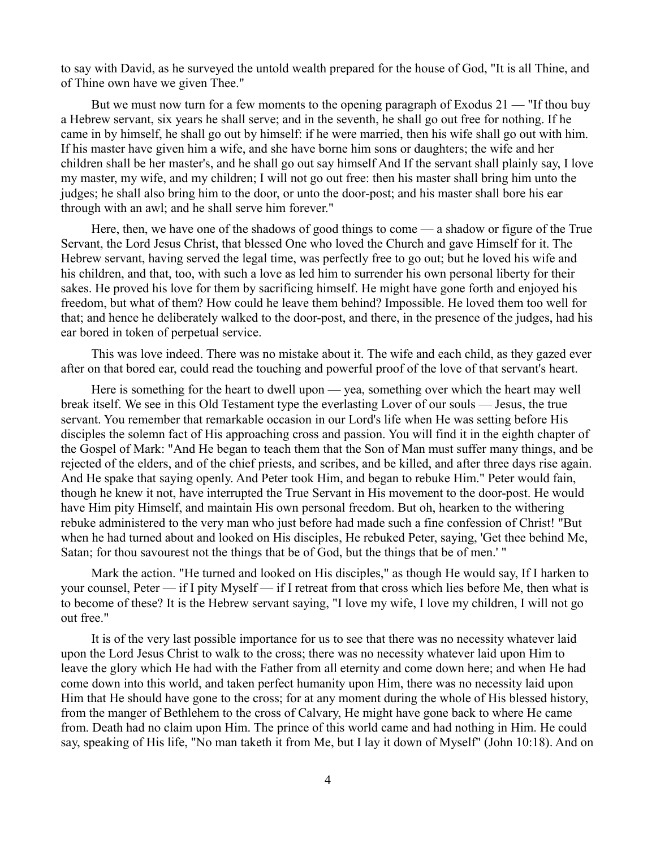to say with David, as he surveyed the untold wealth prepared for the house of God, "It is all Thine, and of Thine own have we given Thee."

But we must now turn for a few moments to the opening paragraph of Exodus 21 — "If thou buy a Hebrew servant, six years he shall serve; and in the seventh, he shall go out free for nothing. If he came in by himself, he shall go out by himself: if he were married, then his wife shall go out with him. If his master have given him a wife, and she have borne him sons or daughters; the wife and her children shall be her master's, and he shall go out say himself And If the servant shall plainly say, I love my master, my wife, and my children; I will not go out free: then his master shall bring him unto the judges; he shall also bring him to the door, or unto the door-post; and his master shall bore his ear through with an awl; and he shall serve him forever."

Here, then, we have one of the shadows of good things to come — a shadow or figure of the True Servant, the Lord Jesus Christ, that blessed One who loved the Church and gave Himself for it. The Hebrew servant, having served the legal time, was perfectly free to go out; but he loved his wife and his children, and that, too, with such a love as led him to surrender his own personal liberty for their sakes. He proved his love for them by sacrificing himself. He might have gone forth and enjoyed his freedom, but what of them? How could he leave them behind? Impossible. He loved them too well for that; and hence he deliberately walked to the door-post, and there, in the presence of the judges, had his ear bored in token of perpetual service.

This was love indeed. There was no mistake about it. The wife and each child, as they gazed ever after on that bored ear, could read the touching and powerful proof of the love of that servant's heart.

Here is something for the heart to dwell upon — yea, something over which the heart may well break itself. We see in this Old Testament type the everlasting Lover of our souls — Jesus, the true servant. You remember that remarkable occasion in our Lord's life when He was setting before His disciples the solemn fact of His approaching cross and passion. You will find it in the eighth chapter of the Gospel of Mark: "And He began to teach them that the Son of Man must suffer many things, and be rejected of the elders, and of the chief priests, and scribes, and be killed, and after three days rise again. And He spake that saying openly. And Peter took Him, and began to rebuke Him." Peter would fain, though he knew it not, have interrupted the True Servant in His movement to the door-post. He would have Him pity Himself, and maintain His own personal freedom. But oh, hearken to the withering rebuke administered to the very man who just before had made such a fine confession of Christ! "But when he had turned about and looked on His disciples, He rebuked Peter, saying, 'Get thee behind Me, Satan; for thou savourest not the things that be of God, but the things that be of men.' "

Mark the action. "He turned and looked on His disciples," as though He would say, If I harken to your counsel, Peter — if I pity Myself — if I retreat from that cross which lies before Me, then what is to become of these? It is the Hebrew servant saying, "I love my wife, I love my children, I will not go out free."

It is of the very last possible importance for us to see that there was no necessity whatever laid upon the Lord Jesus Christ to walk to the cross; there was no necessity whatever laid upon Him to leave the glory which He had with the Father from all eternity and come down here; and when He had come down into this world, and taken perfect humanity upon Him, there was no necessity laid upon Him that He should have gone to the cross; for at any moment during the whole of His blessed history, from the manger of Bethlehem to the cross of Calvary, He might have gone back to where He came from. Death had no claim upon Him. The prince of this world came and had nothing in Him. He could say, speaking of His life, "No man taketh it from Me, but I lay it down of Myself" (John 10:18). And on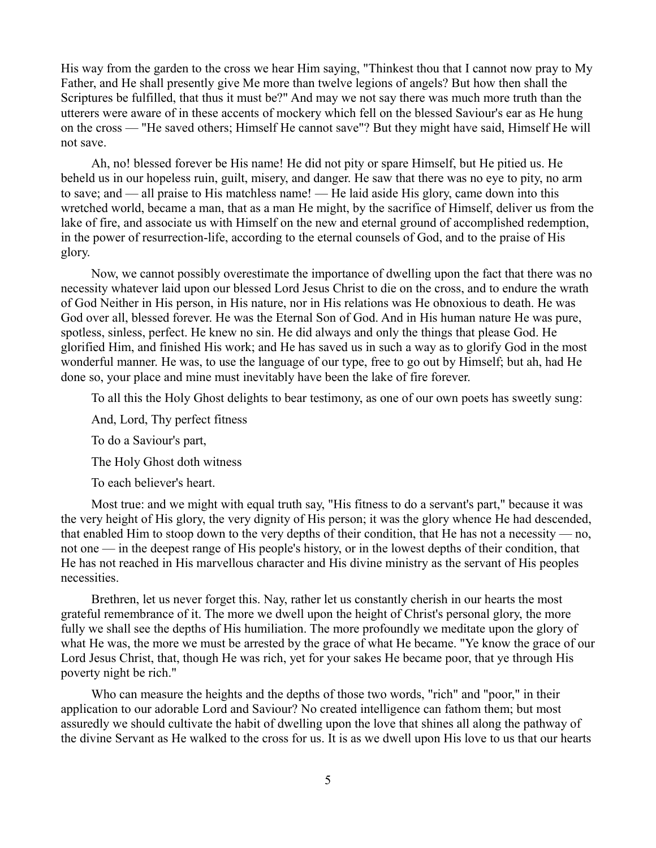His way from the garden to the cross we hear Him saying, "Thinkest thou that I cannot now pray to My Father, and He shall presently give Me more than twelve legions of angels? But how then shall the Scriptures be fulfilled, that thus it must be?" And may we not say there was much more truth than the utterers were aware of in these accents of mockery which fell on the blessed Saviour's ear as He hung on the cross — "He saved others; Himself He cannot save"? But they might have said, Himself He will not save.

Ah, no! blessed forever be His name! He did not pity or spare Himself, but He pitied us. He beheld us in our hopeless ruin, guilt, misery, and danger. He saw that there was no eye to pity, no arm to save; and — all praise to His matchless name! — He laid aside His glory, came down into this wretched world, became a man, that as a man He might, by the sacrifice of Himself, deliver us from the lake of fire, and associate us with Himself on the new and eternal ground of accomplished redemption, in the power of resurrection-life, according to the eternal counsels of God, and to the praise of His glory.

Now, we cannot possibly overestimate the importance of dwelling upon the fact that there was no necessity whatever laid upon our blessed Lord Jesus Christ to die on the cross, and to endure the wrath of God Neither in His person, in His nature, nor in His relations was He obnoxious to death. He was God over all, blessed forever. He was the Eternal Son of God. And in His human nature He was pure, spotless, sinless, perfect. He knew no sin. He did always and only the things that please God. He glorified Him, and finished His work; and He has saved us in such a way as to glorify God in the most wonderful manner. He was, to use the language of our type, free to go out by Himself; but ah, had He done so, your place and mine must inevitably have been the lake of fire forever.

To all this the Holy Ghost delights to bear testimony, as one of our own poets has sweetly sung:

And, Lord, Thy perfect fitness

To do a Saviour's part,

The Holy Ghost doth witness

To each believer's heart.

Most true: and we might with equal truth say, "His fitness to do a servant's part," because it was the very height of His glory, the very dignity of His person; it was the glory whence He had descended, that enabled Him to stoop down to the very depths of their condition, that He has not a necessity — no, not one — in the deepest range of His people's history, or in the lowest depths of their condition, that He has not reached in His marvellous character and His divine ministry as the servant of His peoples necessities.

Brethren, let us never forget this. Nay, rather let us constantly cherish in our hearts the most grateful remembrance of it. The more we dwell upon the height of Christ's personal glory, the more fully we shall see the depths of His humiliation. The more profoundly we meditate upon the glory of what He was, the more we must be arrested by the grace of what He became. "Ye know the grace of our Lord Jesus Christ, that, though He was rich, yet for your sakes He became poor, that ye through His poverty night be rich."

Who can measure the heights and the depths of those two words, "rich" and "poor," in their application to our adorable Lord and Saviour? No created intelligence can fathom them; but most assuredly we should cultivate the habit of dwelling upon the love that shines all along the pathway of the divine Servant as He walked to the cross for us. It is as we dwell upon His love to us that our hearts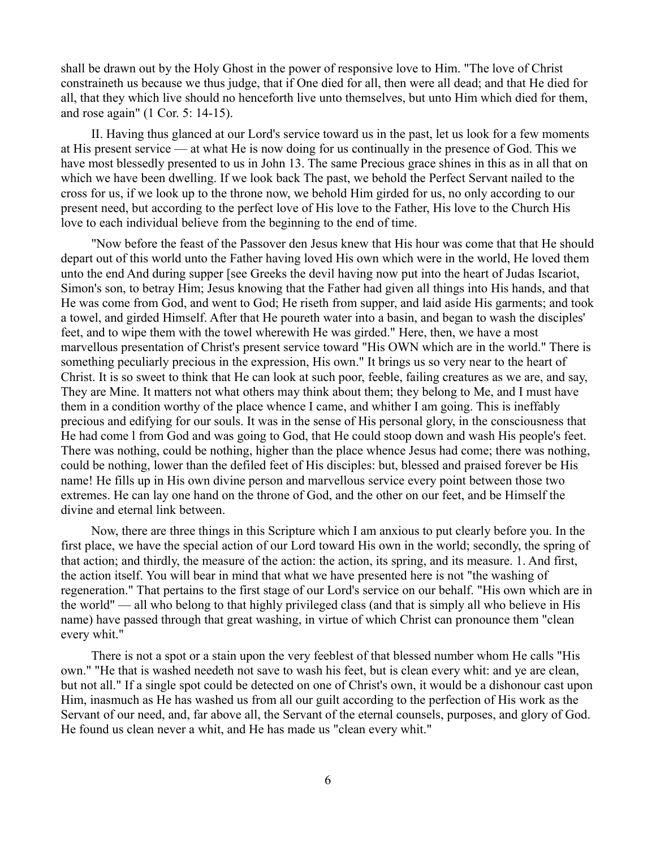shall be drawn out by the Holy Ghost in the power of responsive love to Him. "The love of Christ constraineth us because we thus judge, that if One died for all, then were all dead; and that He died for all, that they which live should no henceforth live unto themselves, but unto Him which died for them, and rose again" (1 Cor. 5: 14-15).

II. Having thus glanced at our Lord's service toward us in the past, let us look for a few moments at His present service — at what He is now doing for us continually in the presence of God. This we have most blessedly presented to us in John 13. The same Precious grace shines in this as in all that on which we have been dwelling. If we look back The past, we behold the Perfect Servant nailed to the cross for us, if we look up to the throne now, we behold Him girded for us, no only according to our present need, but according to the perfect love of His love to the Father, His love to the Church His love to each individual believe from the beginning to the end of time.

"Now before the feast of the Passover den Jesus knew that His hour was come that that He should depart out of this world unto the Father having loved His own which were in the world, He loved them unto the end And during supper [see Greeks the devil having now put into the heart of Judas Iscariot, Simon's son, to betray Him; Jesus knowing that the Father had given all things into His hands, and that He was come from God, and went to God; He riseth from supper, and laid aside His garments; and took a towel, and girded Himself. After that He poureth water into a basin, and began to wash the disciples' feet, and to wipe them with the towel wherewith He was girded." Here, then, we have a most marvellous presentation of Christ's present service toward "His OWN which are in the world." There is something peculiarly precious in the expression, His own." It brings us so very near to the heart of Christ. It is so sweet to think that He can look at such poor, feeble, failing creatures as we are, and say, They are Mine. It matters not what others may think about them; they belong to Me, and I must have them in a condition worthy of the place whence I came, and whither I am going. This is ineffably precious and edifying for our souls. It was in the sense of His personal glory, in the consciousness that He had come l from God and was going to God, that He could stoop down and wash His people's feet. There was nothing, could be nothing, higher than the place whence Jesus had come; there was nothing, could be nothing, lower than the defiled feet of His disciples: but, blessed and praised forever be His name! He fills up in His own divine person and marvellous service every point between those two extremes. He can lay one hand on the throne of God, and the other on our feet, and be Himself the divine and eternal link between.

Now, there are three things in this Scripture which I am anxious to put clearly before you. In the first place, we have the special action of our Lord toward His own in the world; secondly, the spring of that action; and thirdly, the measure of the action: the action, its spring, and its measure. 1. And first, the action itself. You will bear in mind that what we have presented here is not "the washing of regeneration." That pertains to the first stage of our Lord's service on our behalf. "His own which are in the world" — all who belong to that highly privileged class (and that is simply all who believe in His name) have passed through that great washing, in virtue of which Christ can pronounce them "clean every whit."

There is not a spot or a stain upon the very feeblest of that blessed number whom He calls "His own." "He that is washed needeth not save to wash his feet, but is clean every whit: and ye are clean, but not all." If a single spot could be detected on one of Christ's own, it would be a dishonour cast upon Him, inasmuch as He has washed us from all our guilt according to the perfection of His work as the Servant of our need, and, far above all, the Servant of the eternal counsels, purposes, and glory of God. He found us clean never a whit, and He has made us "clean every whit."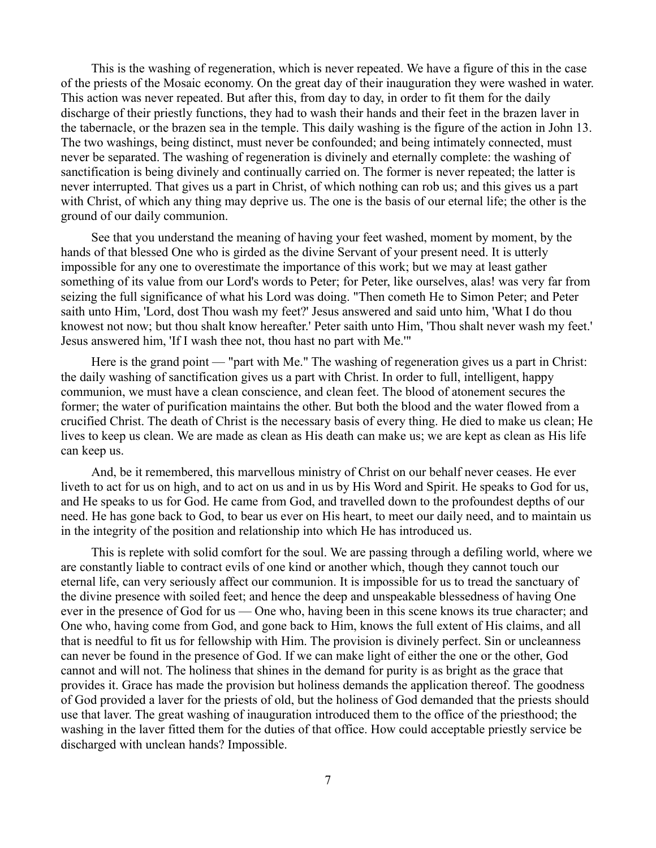This is the washing of regeneration, which is never repeated. We have a figure of this in the case of the priests of the Mosaic economy. On the great day of their inauguration they were washed in water. This action was never repeated. But after this, from day to day, in order to fit them for the daily discharge of their priestly functions, they had to wash their hands and their feet in the brazen laver in the tabernacle, or the brazen sea in the temple. This daily washing is the figure of the action in John 13. The two washings, being distinct, must never be confounded; and being intimately connected, must never be separated. The washing of regeneration is divinely and eternally complete: the washing of sanctification is being divinely and continually carried on. The former is never repeated; the latter is never interrupted. That gives us a part in Christ, of which nothing can rob us; and this gives us a part with Christ, of which any thing may deprive us. The one is the basis of our eternal life; the other is the ground of our daily communion.

See that you understand the meaning of having your feet washed, moment by moment, by the hands of that blessed One who is girded as the divine Servant of your present need. It is utterly impossible for any one to overestimate the importance of this work; but we may at least gather something of its value from our Lord's words to Peter; for Peter, like ourselves, alas! was very far from seizing the full significance of what his Lord was doing. "Then cometh He to Simon Peter; and Peter saith unto Him, 'Lord, dost Thou wash my feet?' Jesus answered and said unto him, 'What I do thou knowest not now; but thou shalt know hereafter.' Peter saith unto Him, 'Thou shalt never wash my feet.' Jesus answered him, 'If I wash thee not, thou hast no part with Me.'"

Here is the grand point — "part with Me." The washing of regeneration gives us a part in Christ: the daily washing of sanctification gives us a part with Christ. In order to full, intelligent, happy communion, we must have a clean conscience, and clean feet. The blood of atonement secures the former; the water of purification maintains the other. But both the blood and the water flowed from a crucified Christ. The death of Christ is the necessary basis of every thing. He died to make us clean; He lives to keep us clean. We are made as clean as His death can make us; we are kept as clean as His life can keep us.

And, be it remembered, this marvellous ministry of Christ on our behalf never ceases. He ever liveth to act for us on high, and to act on us and in us by His Word and Spirit. He speaks to God for us, and He speaks to us for God. He came from God, and travelled down to the profoundest depths of our need. He has gone back to God, to bear us ever on His heart, to meet our daily need, and to maintain us in the integrity of the position and relationship into which He has introduced us.

This is replete with solid comfort for the soul. We are passing through a defiling world, where we are constantly liable to contract evils of one kind or another which, though they cannot touch our eternal life, can very seriously affect our communion. It is impossible for us to tread the sanctuary of the divine presence with soiled feet; and hence the deep and unspeakable blessedness of having One ever in the presence of God for us — One who, having been in this scene knows its true character; and One who, having come from God, and gone back to Him, knows the full extent of His claims, and all that is needful to fit us for fellowship with Him. The provision is divinely perfect. Sin or uncleanness can never be found in the presence of God. If we can make light of either the one or the other, God cannot and will not. The holiness that shines in the demand for purity is as bright as the grace that provides it. Grace has made the provision but holiness demands the application thereof. The goodness of God provided a laver for the priests of old, but the holiness of God demanded that the priests should use that laver. The great washing of inauguration introduced them to the office of the priesthood; the washing in the laver fitted them for the duties of that office. How could acceptable priestly service be discharged with unclean hands? Impossible.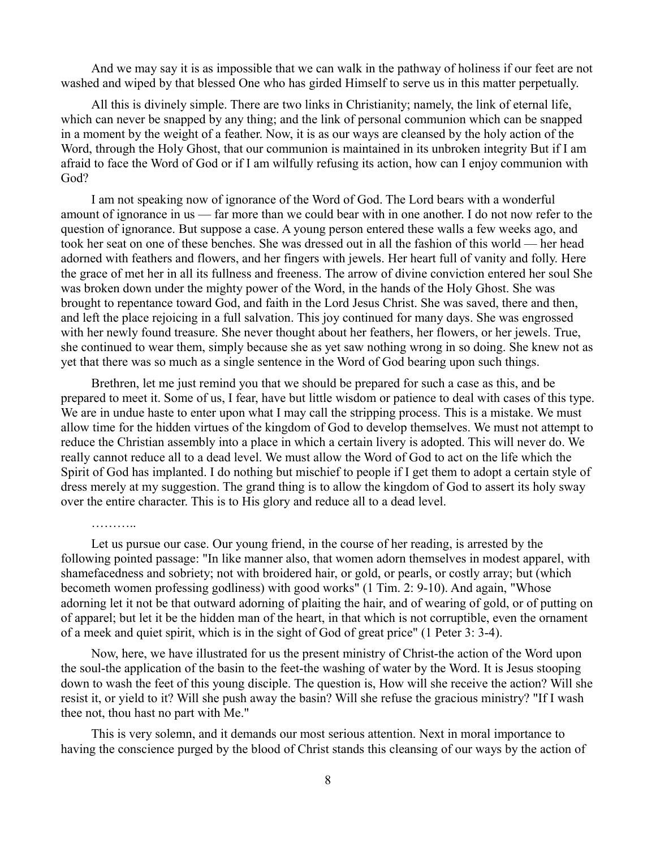And we may say it is as impossible that we can walk in the pathway of holiness if our feet are not washed and wiped by that blessed One who has girded Himself to serve us in this matter perpetually.

All this is divinely simple. There are two links in Christianity; namely, the link of eternal life, which can never be snapped by any thing; and the link of personal communion which can be snapped in a moment by the weight of a feather. Now, it is as our ways are cleansed by the holy action of the Word, through the Holy Ghost, that our communion is maintained in its unbroken integrity But if I am afraid to face the Word of God or if I am wilfully refusing its action, how can I enjoy communion with God?

I am not speaking now of ignorance of the Word of God. The Lord bears with a wonderful amount of ignorance in us — far more than we could bear with in one another. I do not now refer to the question of ignorance. But suppose a case. A young person entered these walls a few weeks ago, and took her seat on one of these benches. She was dressed out in all the fashion of this world — her head adorned with feathers and flowers, and her fingers with jewels. Her heart full of vanity and folly. Here the grace of met her in all its fullness and freeness. The arrow of divine conviction entered her soul She was broken down under the mighty power of the Word, in the hands of the Holy Ghost. She was brought to repentance toward God, and faith in the Lord Jesus Christ. She was saved, there and then, and left the place rejoicing in a full salvation. This joy continued for many days. She was engrossed with her newly found treasure. She never thought about her feathers, her flowers, or her jewels. True, she continued to wear them, simply because she as yet saw nothing wrong in so doing. She knew not as yet that there was so much as a single sentence in the Word of God bearing upon such things.

Brethren, let me just remind you that we should be prepared for such a case as this, and be prepared to meet it. Some of us, I fear, have but little wisdom or patience to deal with cases of this type. We are in undue haste to enter upon what I may call the stripping process. This is a mistake. We must allow time for the hidden virtues of the kingdom of God to develop themselves. We must not attempt to reduce the Christian assembly into a place in which a certain livery is adopted. This will never do. We really cannot reduce all to a dead level. We must allow the Word of God to act on the life which the Spirit of God has implanted. I do nothing but mischief to people if I get them to adopt a certain style of dress merely at my suggestion. The grand thing is to allow the kingdom of God to assert its holy sway over the entire character. This is to His glory and reduce all to a dead level.

Let us pursue our case. Our young friend, in the course of her reading, is arrested by the following pointed passage: "In like manner also, that women adorn themselves in modest apparel, with shamefacedness and sobriety; not with broidered hair, or gold, or pearls, or costly array; but (which becometh women professing godliness) with good works" (1 Tim. 2: 9-10). And again, "Whose adorning let it not be that outward adorning of plaiting the hair, and of wearing of gold, or of putting on of apparel; but let it be the hidden man of the heart, in that which is not corruptible, even the ornament of a meek and quiet spirit, which is in the sight of God of great price" (1 Peter 3: 3-4).

Now, here, we have illustrated for us the present ministry of Christ-the action of the Word upon the soul-the application of the basin to the feet-the washing of water by the Word. It is Jesus stooping down to wash the feet of this young disciple. The question is, How will she receive the action? Will she resist it, or yield to it? Will she push away the basin? Will she refuse the gracious ministry? "If I wash thee not, thou hast no part with Me."

This is very solemn, and it demands our most serious attention. Next in moral importance to having the conscience purged by the blood of Christ stands this cleansing of our ways by the action of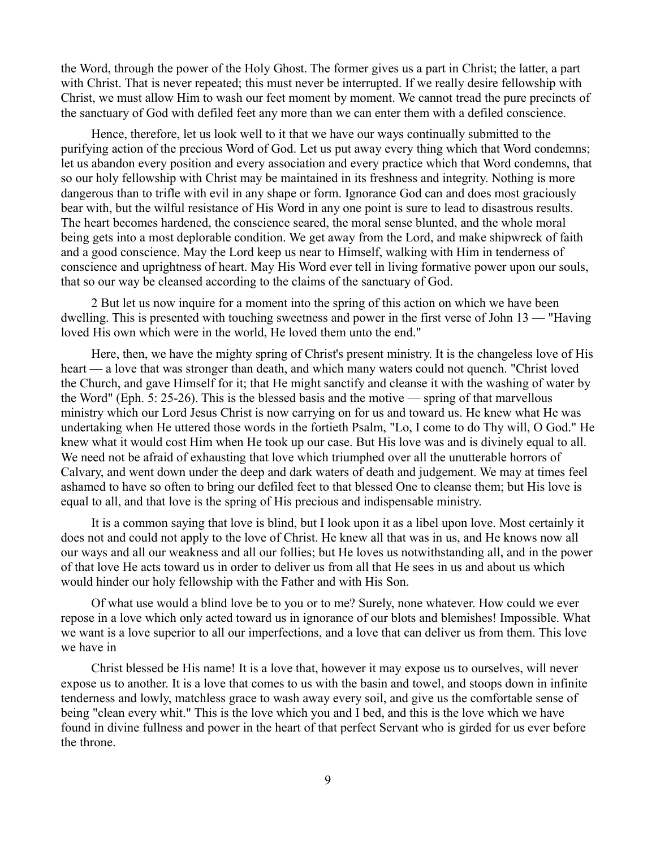the Word, through the power of the Holy Ghost. The former gives us a part in Christ; the latter, a part with Christ. That is never repeated; this must never be interrupted. If we really desire fellowship with Christ, we must allow Him to wash our feet moment by moment. We cannot tread the pure precincts of the sanctuary of God with defiled feet any more than we can enter them with a defiled conscience.

Hence, therefore, let us look well to it that we have our ways continually submitted to the purifying action of the precious Word of God. Let us put away every thing which that Word condemns; let us abandon every position and every association and every practice which that Word condemns, that so our holy fellowship with Christ may be maintained in its freshness and integrity. Nothing is more dangerous than to trifle with evil in any shape or form. Ignorance God can and does most graciously bear with, but the wilful resistance of His Word in any one point is sure to lead to disastrous results. The heart becomes hardened, the conscience seared, the moral sense blunted, and the whole moral being gets into a most deplorable condition. We get away from the Lord, and make shipwreck of faith and a good conscience. May the Lord keep us near to Himself, walking with Him in tenderness of conscience and uprightness of heart. May His Word ever tell in living formative power upon our souls, that so our way be cleansed according to the claims of the sanctuary of God.

2 But let us now inquire for a moment into the spring of this action on which we have been dwelling. This is presented with touching sweetness and power in the first verse of John 13 — "Having loved His own which were in the world, He loved them unto the end."

Here, then, we have the mighty spring of Christ's present ministry. It is the changeless love of His heart — a love that was stronger than death, and which many waters could not quench. "Christ loved the Church, and gave Himself for it; that He might sanctify and cleanse it with the washing of water by the Word" (Eph. 5: 25-26). This is the blessed basis and the motive — spring of that marvellous ministry which our Lord Jesus Christ is now carrying on for us and toward us. He knew what He was undertaking when He uttered those words in the fortieth Psalm, "Lo, I come to do Thy will, O God." He knew what it would cost Him when He took up our case. But His love was and is divinely equal to all. We need not be afraid of exhausting that love which triumphed over all the unutterable horrors of Calvary, and went down under the deep and dark waters of death and judgement. We may at times feel ashamed to have so often to bring our defiled feet to that blessed One to cleanse them; but His love is equal to all, and that love is the spring of His precious and indispensable ministry.

It is a common saying that love is blind, but I look upon it as a libel upon love. Most certainly it does not and could not apply to the love of Christ. He knew all that was in us, and He knows now all our ways and all our weakness and all our follies; but He loves us notwithstanding all, and in the power of that love He acts toward us in order to deliver us from all that He sees in us and about us which would hinder our holy fellowship with the Father and with His Son.

Of what use would a blind love be to you or to me? Surely, none whatever. How could we ever repose in a love which only acted toward us in ignorance of our blots and blemishes! Impossible. What we want is a love superior to all our imperfections, and a love that can deliver us from them. This love we have in

Christ blessed be His name! It is a love that, however it may expose us to ourselves, will never expose us to another. It is a love that comes to us with the basin and towel, and stoops down in infinite tenderness and lowly, matchless grace to wash away every soil, and give us the comfortable sense of being "clean every whit." This is the love which you and I bed, and this is the love which we have found in divine fullness and power in the heart of that perfect Servant who is girded for us ever before the throne.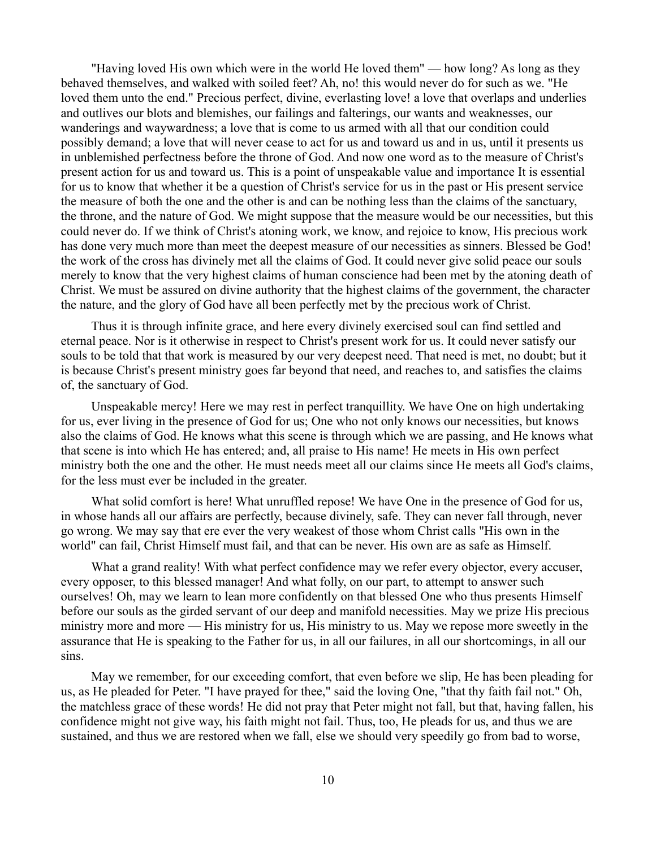"Having loved His own which were in the world He loved them" — how long? As long as they behaved themselves, and walked with soiled feet? Ah, no! this would never do for such as we. "He loved them unto the end." Precious perfect, divine, everlasting love! a love that overlaps and underlies and outlives our blots and blemishes, our failings and falterings, our wants and weaknesses, our wanderings and waywardness; a love that is come to us armed with all that our condition could possibly demand; a love that will never cease to act for us and toward us and in us, until it presents us in unblemished perfectness before the throne of God. And now one word as to the measure of Christ's present action for us and toward us. This is a point of unspeakable value and importance It is essential for us to know that whether it be a question of Christ's service for us in the past or His present service the measure of both the one and the other is and can be nothing less than the claims of the sanctuary, the throne, and the nature of God. We might suppose that the measure would be our necessities, but this could never do. If we think of Christ's atoning work, we know, and rejoice to know, His precious work has done very much more than meet the deepest measure of our necessities as sinners. Blessed be God! the work of the cross has divinely met all the claims of God. It could never give solid peace our souls merely to know that the very highest claims of human conscience had been met by the atoning death of Christ. We must be assured on divine authority that the highest claims of the government, the character the nature, and the glory of God have all been perfectly met by the precious work of Christ.

Thus it is through infinite grace, and here every divinely exercised soul can find settled and eternal peace. Nor is it otherwise in respect to Christ's present work for us. It could never satisfy our souls to be told that that work is measured by our very deepest need. That need is met, no doubt; but it is because Christ's present ministry goes far beyond that need, and reaches to, and satisfies the claims of, the sanctuary of God.

Unspeakable mercy! Here we may rest in perfect tranquillity. We have One on high undertaking for us, ever living in the presence of God for us; One who not only knows our necessities, but knows also the claims of God. He knows what this scene is through which we are passing, and He knows what that scene is into which He has entered; and, all praise to His name! He meets in His own perfect ministry both the one and the other. He must needs meet all our claims since He meets all God's claims, for the less must ever be included in the greater.

What solid comfort is here! What unruffled repose! We have One in the presence of God for us, in whose hands all our affairs are perfectly, because divinely, safe. They can never fall through, never go wrong. We may say that ere ever the very weakest of those whom Christ calls "His own in the world" can fail, Christ Himself must fail, and that can be never. His own are as safe as Himself.

What a grand reality! With what perfect confidence may we refer every objector, every accuser, every opposer, to this blessed manager! And what folly, on our part, to attempt to answer such ourselves! Oh, may we learn to lean more confidently on that blessed One who thus presents Himself before our souls as the girded servant of our deep and manifold necessities. May we prize His precious ministry more and more — His ministry for us, His ministry to us. May we repose more sweetly in the assurance that He is speaking to the Father for us, in all our failures, in all our shortcomings, in all our sins.

May we remember, for our exceeding comfort, that even before we slip, He has been pleading for us, as He pleaded for Peter. "I have prayed for thee," said the loving One, "that thy faith fail not." Oh, the matchless grace of these words! He did not pray that Peter might not fall, but that, having fallen, his confidence might not give way, his faith might not fail. Thus, too, He pleads for us, and thus we are sustained, and thus we are restored when we fall, else we should very speedily go from bad to worse,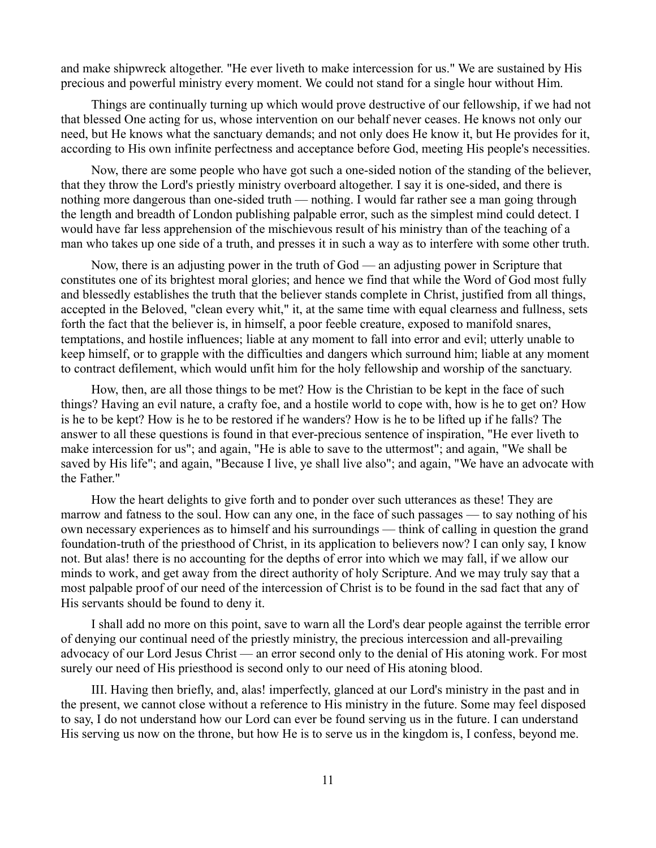and make shipwreck altogether. "He ever liveth to make intercession for us." We are sustained by His precious and powerful ministry every moment. We could not stand for a single hour without Him.

Things are continually turning up which would prove destructive of our fellowship, if we had not that blessed One acting for us, whose intervention on our behalf never ceases. He knows not only our need, but He knows what the sanctuary demands; and not only does He know it, but He provides for it, according to His own infinite perfectness and acceptance before God, meeting His people's necessities.

Now, there are some people who have got such a one-sided notion of the standing of the believer, that they throw the Lord's priestly ministry overboard altogether. I say it is one-sided, and there is nothing more dangerous than one-sided truth — nothing. I would far rather see a man going through the length and breadth of London publishing palpable error, such as the simplest mind could detect. I would have far less apprehension of the mischievous result of his ministry than of the teaching of a man who takes up one side of a truth, and presses it in such a way as to interfere with some other truth.

Now, there is an adjusting power in the truth of God — an adjusting power in Scripture that constitutes one of its brightest moral glories; and hence we find that while the Word of God most fully and blessedly establishes the truth that the believer stands complete in Christ, justified from all things, accepted in the Beloved, "clean every whit," it, at the same time with equal clearness and fullness, sets forth the fact that the believer is, in himself, a poor feeble creature, exposed to manifold snares, temptations, and hostile influences; liable at any moment to fall into error and evil; utterly unable to keep himself, or to grapple with the difficulties and dangers which surround him; liable at any moment to contract defilement, which would unfit him for the holy fellowship and worship of the sanctuary.

How, then, are all those things to be met? How is the Christian to be kept in the face of such things? Having an evil nature, a crafty foe, and a hostile world to cope with, how is he to get on? How is he to be kept? How is he to be restored if he wanders? How is he to be lifted up if he falls? The answer to all these questions is found in that ever-precious sentence of inspiration, "He ever liveth to make intercession for us"; and again, "He is able to save to the uttermost"; and again, "We shall be saved by His life"; and again, "Because I live, ye shall live also"; and again, "We have an advocate with the Father."

How the heart delights to give forth and to ponder over such utterances as these! They are marrow and fatness to the soul. How can any one, in the face of such passages — to say nothing of his own necessary experiences as to himself and his surroundings — think of calling in question the grand foundation-truth of the priesthood of Christ, in its application to believers now? I can only say, I know not. But alas! there is no accounting for the depths of error into which we may fall, if we allow our minds to work, and get away from the direct authority of holy Scripture. And we may truly say that a most palpable proof of our need of the intercession of Christ is to be found in the sad fact that any of His servants should be found to deny it.

I shall add no more on this point, save to warn all the Lord's dear people against the terrible error of denying our continual need of the priestly ministry, the precious intercession and all-prevailing advocacy of our Lord Jesus Christ — an error second only to the denial of His atoning work. For most surely our need of His priesthood is second only to our need of His atoning blood.

III. Having then briefly, and, alas! imperfectly, glanced at our Lord's ministry in the past and in the present, we cannot close without a reference to His ministry in the future. Some may feel disposed to say, I do not understand how our Lord can ever be found serving us in the future. I can understand His serving us now on the throne, but how He is to serve us in the kingdom is, I confess, beyond me.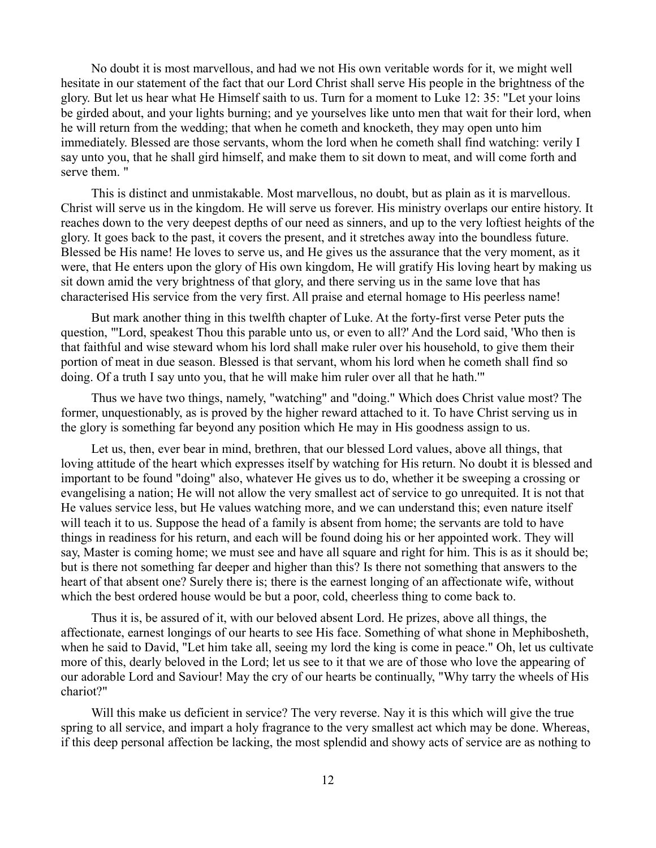No doubt it is most marvellous, and had we not His own veritable words for it, we might well hesitate in our statement of the fact that our Lord Christ shall serve His people in the brightness of the glory. But let us hear what He Himself saith to us. Turn for a moment to Luke 12: 35: "Let your loins be girded about, and your lights burning; and ye yourselves like unto men that wait for their lord, when he will return from the wedding; that when he cometh and knocketh, they may open unto him immediately. Blessed are those servants, whom the lord when he cometh shall find watching: verily I say unto you, that he shall gird himself, and make them to sit down to meat, and will come forth and serve them. "

This is distinct and unmistakable. Most marvellous, no doubt, but as plain as it is marvellous. Christ will serve us in the kingdom. He will serve us forever. His ministry overlaps our entire history. It reaches down to the very deepest depths of our need as sinners, and up to the very loftiest heights of the glory. It goes back to the past, it covers the present, and it stretches away into the boundless future. Blessed be His name! He loves to serve us, and He gives us the assurance that the very moment, as it were, that He enters upon the glory of His own kingdom, He will gratify His loving heart by making us sit down amid the very brightness of that glory, and there serving us in the same love that has characterised His service from the very first. All praise and eternal homage to His peerless name!

But mark another thing in this twelfth chapter of Luke. At the forty-first verse Peter puts the question, "'Lord, speakest Thou this parable unto us, or even to all?' And the Lord said, 'Who then is that faithful and wise steward whom his lord shall make ruler over his household, to give them their portion of meat in due season. Blessed is that servant, whom his lord when he cometh shall find so doing. Of a truth I say unto you, that he will make him ruler over all that he hath.'"

Thus we have two things, namely, "watching" and "doing." Which does Christ value most? The former, unquestionably, as is proved by the higher reward attached to it. To have Christ serving us in the glory is something far beyond any position which He may in His goodness assign to us.

Let us, then, ever bear in mind, brethren, that our blessed Lord values, above all things, that loving attitude of the heart which expresses itself by watching for His return. No doubt it is blessed and important to be found "doing" also, whatever He gives us to do, whether it be sweeping a crossing or evangelising a nation; He will not allow the very smallest act of service to go unrequited. It is not that He values service less, but He values watching more, and we can understand this; even nature itself will teach it to us. Suppose the head of a family is absent from home; the servants are told to have things in readiness for his return, and each will be found doing his or her appointed work. They will say, Master is coming home; we must see and have all square and right for him. This is as it should be; but is there not something far deeper and higher than this? Is there not something that answers to the heart of that absent one? Surely there is; there is the earnest longing of an affectionate wife, without which the best ordered house would be but a poor, cold, cheerless thing to come back to.

Thus it is, be assured of it, with our beloved absent Lord. He prizes, above all things, the affectionate, earnest longings of our hearts to see His face. Something of what shone in Mephibosheth, when he said to David, "Let him take all, seeing my lord the king is come in peace." Oh, let us cultivate more of this, dearly beloved in the Lord; let us see to it that we are of those who love the appearing of our adorable Lord and Saviour! May the cry of our hearts be continually, "Why tarry the wheels of His chariot?"

Will this make us deficient in service? The very reverse. Nay it is this which will give the true spring to all service, and impart a holy fragrance to the very smallest act which may be done. Whereas, if this deep personal affection be lacking, the most splendid and showy acts of service are as nothing to